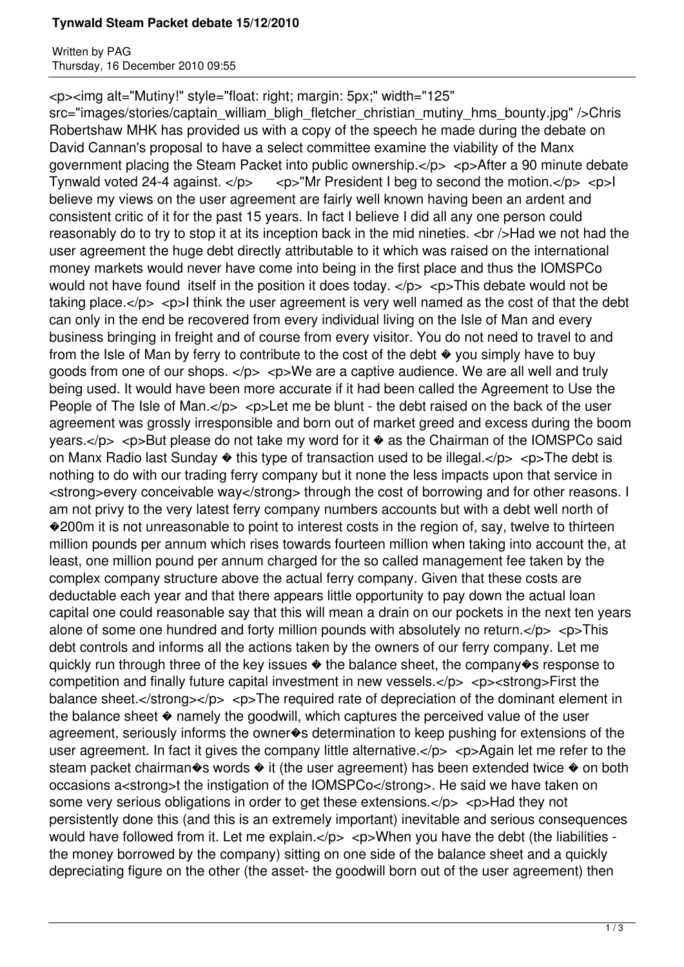## **Tynwald Steam Packet debate 15/12/2010**

Written by PAG Thursday, 16 December 2010 09:55

<p><img alt="Mutiny!" style="float: right; margin: 5px;" width="125"

src="images/stories/captain\_william\_bligh\_fletcher\_christian\_mutiny\_hms\_bounty.jpg" />Chris Robertshaw MHK has provided us with a copy of the speech he made during the debate on David Cannan's proposal to have a select committee examine the viability of the Manx government placing the Steam Packet into public ownership. $\langle p \rangle$   $\langle p \rangle$  After a 90 minute debate Tynwald voted 24-4 against.  $\langle p \rangle$   $\langle p \rangle$  Tynwald voted 24-4 against.  $\langle p \rangle$ believe my views on the user agreement are fairly well known having been an ardent and consistent critic of it for the past 15 years. In fact I believe I did all any one person could reasonably do to try to stop it at its inception back in the mid nineties. < br />Had we not had the user agreement the huge debt directly attributable to it which was raised on the international money markets would never have come into being in the first place and thus the IOMSPCo would not have found itself in the position it does today.  $\langle p \rangle$   $\langle p \rangle$ This debate would not be taking place. $\langle p \rangle$   $\langle p \rangle$  think the user agreement is very well named as the cost of that the debt can only in the end be recovered from every individual living on the Isle of Man and every business bringing in freight and of course from every visitor. You do not need to travel to and from the Isle of Man by ferry to contribute to the cost of the debt  $\bullet$  you simply have to buy goods from one of our shops.  $\langle p \rangle$   $\langle p \rangle$  we are a captive audience. We are all well and truly being used. It would have been more accurate if it had been called the Agreement to Use the People of The Isle of Man. $<$ /p $>$   $<$ p $>$ Let me be blunt - the debt raised on the back of the user agreement was grossly irresponsible and born out of market greed and excess during the boom years. $\langle p \rangle$  <p>But please do not take my word for it  $\circ$  as the Chairman of the IOMSPCo said on Manx Radio last Sunday  $\bullet$  this type of transaction used to be illegal. $\lt$ /p>  $\lt$ p>The debt is nothing to do with our trading ferry company but it none the less impacts upon that service in <strong>every conceivable way</strong> through the cost of borrowing and for other reasons. I am not privy to the very latest ferry company numbers accounts but with a debt well north of ◆200m it is not unreasonable to point to interest costs in the region of, say, twelve to thirteen million pounds per annum which rises towards fourteen million when taking into account the, at least, one million pound per annum charged for the so called management fee taken by the complex company structure above the actual ferry company. Given that these costs are deductable each year and that there appears little opportunity to pay down the actual loan capital one could reasonable say that this will mean a drain on our pockets in the next ten years alone of some one hundred and forty million pounds with absolutely no return. $<$ /p>  $<$ p>This debt controls and informs all the actions taken by the owners of our ferry company. Let me quickly run through three of the key issues � the balance sheet, the company�s response to competition and finally future capital investment in new vessels. $<$ /p>  $<$ p> $<$ strong>First the balance sheet.</strong></p> <p>The required rate of depreciation of the dominant element in the balance sheet � namely the goodwill, which captures the perceived value of the user agreement, seriously informs the owner�s determination to keep pushing for extensions of the user agreement. In fact it gives the company little alternative. $\langle p \rangle$   $\langle p \rangle$   $\langle p \rangle$  Again let me refer to the steam packet chairman $\diamond$ s words  $\diamond$  it (the user agreement) has been extended twice  $\diamond$  on both occasions a<strong>t the instigation of the IOMSPCo</strong>. He said we have taken on some very serious obligations in order to get these extensions.</p> $\lt$  >  $\lt$ p>Had they not persistently done this (and this is an extremely important) inevitable and serious consequences would have followed from it. Let me explain. $\langle$ /p>  $\langle$  cp>When you have the debt (the liabilities the money borrowed by the company) sitting on one side of the balance sheet and a quickly depreciating figure on the other (the asset- the goodwill born out of the user agreement) then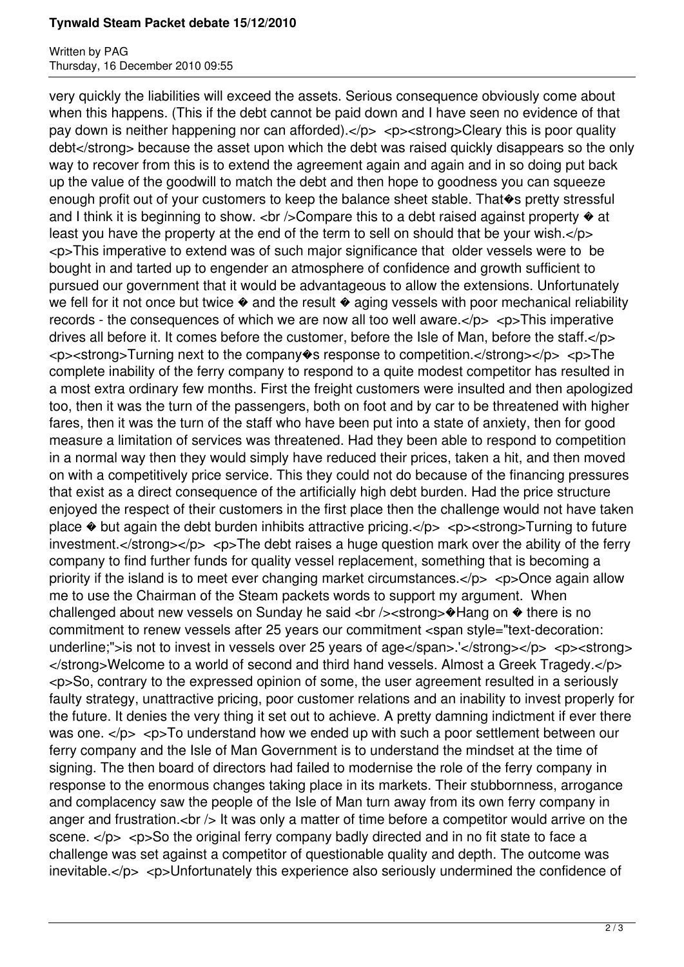## **Tynwald Steam Packet debate 15/12/2010**

Written by PAG Thursday, 16 December 2010 09:55

very quickly the liabilities will exceed the assets. Serious consequence obviously come about when this happens. (This if the debt cannot be paid down and I have seen no evidence of that pay down is neither happening nor can afforded). $\langle p \rangle$   $\langle p \rangle$   $\langle p \rangle$  strong  $\rangle$ Cleary this is poor quality debt</strong> because the asset upon which the debt was raised quickly disappears so the only way to recover from this is to extend the agreement again and again and in so doing put back up the value of the goodwill to match the debt and then hope to goodness you can squeeze enough profit out of your customers to keep the balance sheet stable. That  $\diamond$ s pretty stressful and I think it is beginning to show.  $\langle$ br  $\rangle$ >Compare this to a debt raised against property  $\diamond$  at least you have the property at the end of the term to sell on should that be your wish. $<$ /p> <p>This imperative to extend was of such major significance that older vessels were to be bought in and tarted up to engender an atmosphere of confidence and growth sufficient to pursued our government that it would be advantageous to allow the extensions. Unfortunately we fell for it not once but twice  $\bullet$  and the result  $\bullet$  aging vessels with poor mechanical reliability records - the consequences of which we are now all too well aware. $\langle p \rangle$   $\langle p \rangle$ This imperative drives all before it. It comes before the customer, before the Isle of Man, before the staff.</p> <p><strong>Turning next to the company�s response to competition.</strong></p> <p>The complete inability of the ferry company to respond to a quite modest competitor has resulted in a most extra ordinary few months. First the freight customers were insulted and then apologized too, then it was the turn of the passengers, both on foot and by car to be threatened with higher fares, then it was the turn of the staff who have been put into a state of anxiety, then for good measure a limitation of services was threatened. Had they been able to respond to competition in a normal way then they would simply have reduced their prices, taken a hit, and then moved on with a competitively price service. This they could not do because of the financing pressures that exist as a direct consequence of the artificially high debt burden. Had the price structure enjoyed the respect of their customers in the first place then the challenge would not have taken place  $\bullet$  but again the debt burden inhibits attractive pricing. $\lt/$ p>  $\lt$ p> $\lt$ strong>Turning to future investment.</strong></p> <p>The debt raises a huge question mark over the ability of the ferry company to find further funds for quality vessel replacement, something that is becoming a priority if the island is to meet ever changing market circumstances. $\langle p \rangle$   $\langle p \rangle$   $\langle p \rangle$  Once again allow me to use the Chairman of the Steam packets words to support my argument. When challenged about new vessels on Sunday he said <br />> $\leq$  /><strong> $\triangle$ Hang on  $\triangle$  there is no commitment to renew vessels after 25 years our commitment <span style="text-decoration: underline;">is not to invest in vessels over 25 years of age</span>.'</strong></p><p><strong> </strong>Welcome to a world of second and third hand vessels. Almost a Greek Tragedy.</p> <p>So, contrary to the expressed opinion of some, the user agreement resulted in a seriously faulty strategy, unattractive pricing, poor customer relations and an inability to invest properly for the future. It denies the very thing it set out to achieve. A pretty damning indictment if ever there was one.  $\langle p \rangle$   $\langle p \rangle$   $\langle p \rangle$  ounderstand how we ended up with such a poor settlement between our ferry company and the Isle of Man Government is to understand the mindset at the time of signing. The then board of directors had failed to modernise the role of the ferry company in response to the enormous changes taking place in its markets. Their stubbornness, arrogance and complacency saw the people of the Isle of Man turn away from its own ferry company in anger and frustration.<br  $/$ > It was only a matter of time before a competitor would arrive on the scene.  $\langle$ /p>  $\langle$ p>So the original ferry company badly directed and in no fit state to face a challenge was set against a competitor of questionable quality and depth. The outcome was inevitable.</p> <p>Unfortunately this experience also seriously undermined the confidence of